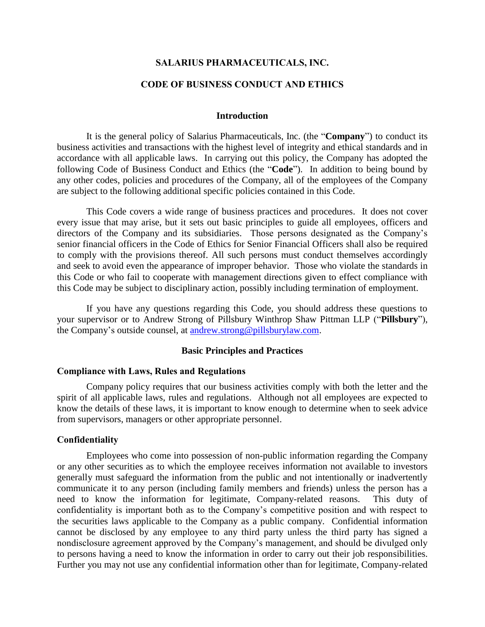### **SALARIUS PHARMACEUTICALS, INC.**

## **CODE OF BUSINESS CONDUCT AND ETHICS**

#### **Introduction**

It is the general policy of Salarius Pharmaceuticals, Inc. (the "**Company**") to conduct its business activities and transactions with the highest level of integrity and ethical standards and in accordance with all applicable laws. In carrying out this policy, the Company has adopted the following Code of Business Conduct and Ethics (the "**Code**"). In addition to being bound by any other codes, policies and procedures of the Company, all of the employees of the Company are subject to the following additional specific policies contained in this Code.

This Code covers a wide range of business practices and procedures. It does not cover every issue that may arise, but it sets out basic principles to guide all employees, officers and directors of the Company and its subsidiaries. Those persons designated as the Company's senior financial officers in the Code of Ethics for Senior Financial Officers shall also be required to comply with the provisions thereof. All such persons must conduct themselves accordingly and seek to avoid even the appearance of improper behavior. Those who violate the standards in this Code or who fail to cooperate with management directions given to effect compliance with this Code may be subject to disciplinary action, possibly including termination of employment.

If you have any questions regarding this Code, you should address these questions to your supervisor or to Andrew Strong of Pillsbury Winthrop Shaw Pittman LLP ("**Pillsbury**"), the Company's outside counsel, at [andrew.strong@pillsburylaw.com.](mailto:andrew.strong@pillsburylaw.com)

#### **Basic Principles and Practices**

#### **Compliance with Laws, Rules and Regulations**

Company policy requires that our business activities comply with both the letter and the spirit of all applicable laws, rules and regulations. Although not all employees are expected to know the details of these laws, it is important to know enough to determine when to seek advice from supervisors, managers or other appropriate personnel.

#### **Confidentiality**

Employees who come into possession of non-public information regarding the Company or any other securities as to which the employee receives information not available to investors generally must safeguard the information from the public and not intentionally or inadvertently communicate it to any person (including family members and friends) unless the person has a need to know the information for legitimate, Company-related reasons. This duty of confidentiality is important both as to the Company's competitive position and with respect to the securities laws applicable to the Company as a public company. Confidential information cannot be disclosed by any employee to any third party unless the third party has signed a nondisclosure agreement approved by the Company's management, and should be divulged only to persons having a need to know the information in order to carry out their job responsibilities. Further you may not use any confidential information other than for legitimate, Company-related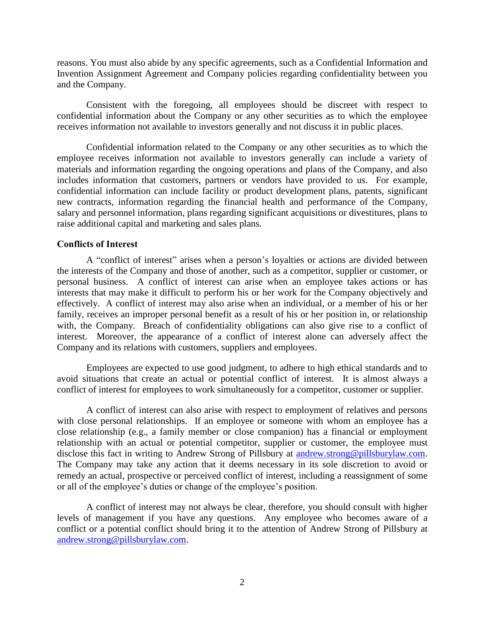reasons. You must also abide by any specific agreements, such as a Confidential Information and Invention Assignment Agreement and Company policies regarding confidentiality between you and the Company.

Consistent with the foregoing, all employees should be discreet with respect to confidential information about the Company or any other securities as to which the employee receives information not available to investors generally and not discuss it in public places.

Confidential information related to the Company or any other securities as to which the employee receives information not available to investors generally can include a variety of materials and information regarding the ongoing operations and plans of the Company, and also includes information that customers, partners or vendors have provided to us. For example, confidential information can include facility or product development plans, patents, significant new contracts, information regarding the financial health and performance of the Company, salary and personnel information, plans regarding significant acquisitions or divestitures, plans to raise additional capital and marketing and sales plans.

### **Conflicts of Interest**

A "conflict of interest" arises when a person's loyalties or actions are divided between the interests of the Company and those of another, such as a competitor, supplier or customer, or personal business. A conflict of interest can arise when an employee takes actions or has interests that may make it difficult to perform his or her work for the Company objectively and effectively. A conflict of interest may also arise when an individual, or a member of his or her family, receives an improper personal benefit as a result of his or her position in, or relationship with, the Company. Breach of confidentiality obligations can also give rise to a conflict of interest. Moreover, the appearance of a conflict of interest alone can adversely affect the Company and its relations with customers, suppliers and employees.

Employees are expected to use good judgment, to adhere to high ethical standards and to avoid situations that create an actual or potential conflict of interest. It is almost always a conflict of interest for employees to work simultaneously for a competitor, customer or supplier.

A conflict of interest can also arise with respect to employment of relatives and persons with close personal relationships. If an employee or someone with whom an employee has a close relationship (e.g., a family member or close companion) has a financial or employment relationship with an actual or potential competitor, supplier or customer, the employee must disclose this fact in writing to Andrew Strong of Pillsbury at [andrew.strong@pillsburylaw.com.](mailto:andrew.strong@pillsburylaw.com) The Company may take any action that it deems necessary in its sole discretion to avoid or remedy an actual, prospective or perceived conflict of interest, including a reassignment of some or all of the employee's duties or change of the employee's position.

A conflict of interest may not always be clear, therefore, you should consult with higher levels of management if you have any questions. Any employee who becomes aware of a conflict or a potential conflict should bring it to the attention of Andrew Strong of Pillsbury at [andrew.strong@pillsburylaw.com.](mailto:andrew.strong@pillsburylaw.com)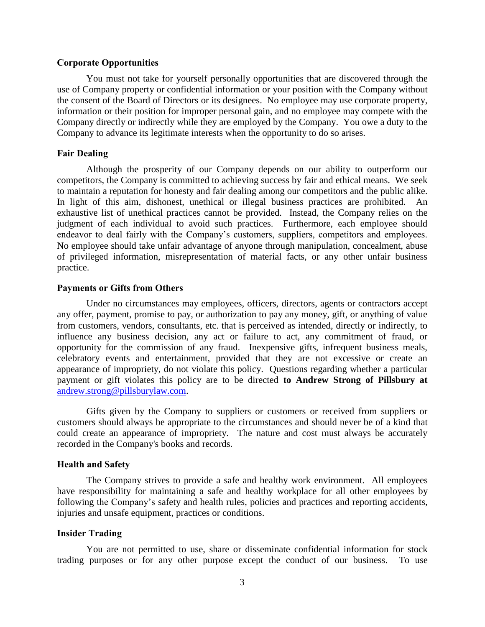#### **Corporate Opportunities**

You must not take for yourself personally opportunities that are discovered through the use of Company property or confidential information or your position with the Company without the consent of the Board of Directors or its designees. No employee may use corporate property, information or their position for improper personal gain, and no employee may compete with the Company directly or indirectly while they are employed by the Company. You owe a duty to the Company to advance its legitimate interests when the opportunity to do so arises.

### **Fair Dealing**

Although the prosperity of our Company depends on our ability to outperform our competitors, the Company is committed to achieving success by fair and ethical means. We seek to maintain a reputation for honesty and fair dealing among our competitors and the public alike. In light of this aim, dishonest, unethical or illegal business practices are prohibited. An exhaustive list of unethical practices cannot be provided. Instead, the Company relies on the judgment of each individual to avoid such practices. Furthermore, each employee should endeavor to deal fairly with the Company's customers, suppliers, competitors and employees. No employee should take unfair advantage of anyone through manipulation, concealment, abuse of privileged information, misrepresentation of material facts, or any other unfair business practice.

#### **Payments or Gifts from Others**

Under no circumstances may employees, officers, directors, agents or contractors accept any offer, payment, promise to pay, or authorization to pay any money, gift, or anything of value from customers, vendors, consultants, etc. that is perceived as intended, directly or indirectly, to influence any business decision, any act or failure to act, any commitment of fraud, or opportunity for the commission of any fraud. Inexpensive gifts, infrequent business meals, celebratory events and entertainment, provided that they are not excessive or create an appearance of impropriety, do not violate this policy. Questions regarding whether a particular payment or gift violates this policy are to be directed **to Andrew Strong of Pillsbury at**  [andrew.strong@pillsburylaw.com.](mailto:andrew.strong@pillsburylaw.com)

Gifts given by the Company to suppliers or customers or received from suppliers or customers should always be appropriate to the circumstances and should never be of a kind that could create an appearance of impropriety. The nature and cost must always be accurately recorded in the Company's books and records.

#### **Health and Safety**

The Company strives to provide a safe and healthy work environment. All employees have responsibility for maintaining a safe and healthy workplace for all other employees by following the Company's safety and health rules, policies and practices and reporting accidents, injuries and unsafe equipment, practices or conditions.

#### **Insider Trading**

You are not permitted to use, share or disseminate confidential information for stock trading purposes or for any other purpose except the conduct of our business. To use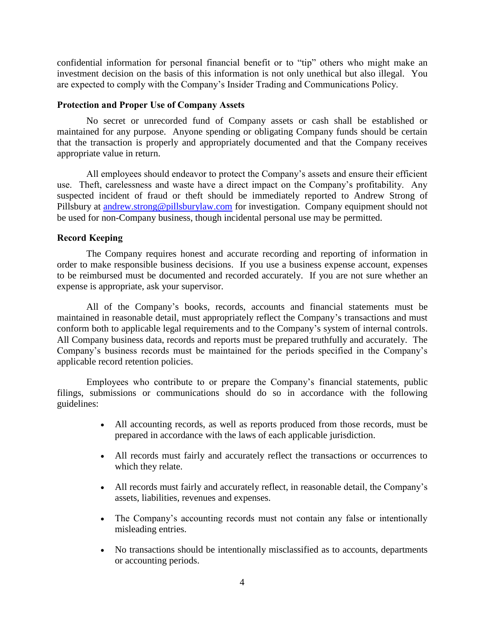confidential information for personal financial benefit or to "tip" others who might make an investment decision on the basis of this information is not only unethical but also illegal. You are expected to comply with the Company's Insider Trading and Communications Policy.

## **Protection and Proper Use of Company Assets**

No secret or unrecorded fund of Company assets or cash shall be established or maintained for any purpose. Anyone spending or obligating Company funds should be certain that the transaction is properly and appropriately documented and that the Company receives appropriate value in return.

All employees should endeavor to protect the Company's assets and ensure their efficient use. Theft, carelessness and waste have a direct impact on the Company's profitability. Any suspected incident of fraud or theft should be immediately reported to Andrew Strong of Pillsbury at [andrew.strong@pillsburylaw.com](mailto:andrew.strong@pillsburylaw.com) for investigation. Company equipment should not be used for non-Company business, though incidental personal use may be permitted.

## **Record Keeping**

The Company requires honest and accurate recording and reporting of information in order to make responsible business decisions. If you use a business expense account, expenses to be reimbursed must be documented and recorded accurately. If you are not sure whether an expense is appropriate, ask your supervisor.

All of the Company's books, records, accounts and financial statements must be maintained in reasonable detail, must appropriately reflect the Company's transactions and must conform both to applicable legal requirements and to the Company's system of internal controls. All Company business data, records and reports must be prepared truthfully and accurately. The Company's business records must be maintained for the periods specified in the Company's applicable record retention policies.

Employees who contribute to or prepare the Company's financial statements, public filings, submissions or communications should do so in accordance with the following guidelines:

- All accounting records, as well as reports produced from those records, must be prepared in accordance with the laws of each applicable jurisdiction.
- All records must fairly and accurately reflect the transactions or occurrences to which they relate.
- All records must fairly and accurately reflect, in reasonable detail, the Company's assets, liabilities, revenues and expenses.
- The Company's accounting records must not contain any false or intentionally misleading entries.
- No transactions should be intentionally misclassified as to accounts, departments or accounting periods.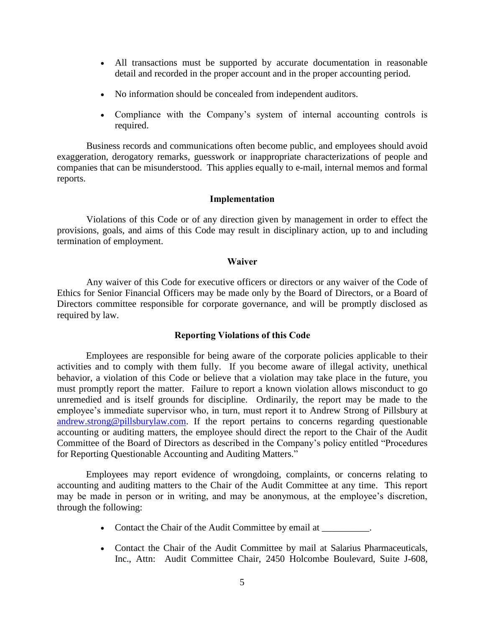- All transactions must be supported by accurate documentation in reasonable detail and recorded in the proper account and in the proper accounting period.
- No information should be concealed from independent auditors.
- Compliance with the Company's system of internal accounting controls is required.

Business records and communications often become public, and employees should avoid exaggeration, derogatory remarks, guesswork or inappropriate characterizations of people and companies that can be misunderstood. This applies equally to e-mail, internal memos and formal reports.

#### **Implementation**

Violations of this Code or of any direction given by management in order to effect the provisions, goals, and aims of this Code may result in disciplinary action, up to and including termination of employment.

#### **Waiver**

Any waiver of this Code for executive officers or directors or any waiver of the Code of Ethics for Senior Financial Officers may be made only by the Board of Directors, or a Board of Directors committee responsible for corporate governance, and will be promptly disclosed as required by law.

### **Reporting Violations of this Code**

Employees are responsible for being aware of the corporate policies applicable to their activities and to comply with them fully. If you become aware of illegal activity, unethical behavior, a violation of this Code or believe that a violation may take place in the future, you must promptly report the matter. Failure to report a known violation allows misconduct to go unremedied and is itself grounds for discipline. Ordinarily, the report may be made to the employee's immediate supervisor who, in turn, must report it to Andrew Strong of Pillsbury at [andrew.strong@pillsburylaw.com.](mailto:andrew.strong@pillsburylaw.com) If the report pertains to concerns regarding questionable accounting or auditing matters, the employee should direct the report to the Chair of the Audit Committee of the Board of Directors as described in the Company's policy entitled "Procedures for Reporting Questionable Accounting and Auditing Matters."

Employees may report evidence of wrongdoing, complaints, or concerns relating to accounting and auditing matters to the Chair of the Audit Committee at any time. This report may be made in person or in writing, and may be anonymous, at the employee's discretion, through the following:

- Contact the Chair of the Audit Committee by email at \_\_\_\_\_\_\_\_\_.
- Contact the Chair of the Audit Committee by mail at Salarius Pharmaceuticals, Inc., Attn: Audit Committee Chair, 2450 Holcombe Boulevard, Suite J-608,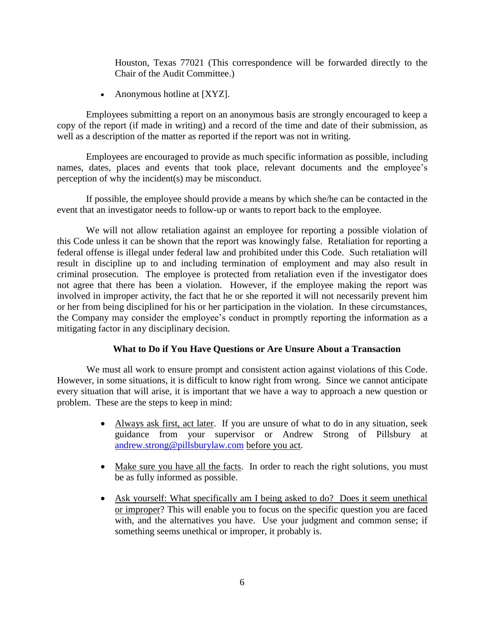Houston, Texas 77021 (This correspondence will be forwarded directly to the Chair of the Audit Committee.)

• Anonymous hotline at [XYZ].

Employees submitting a report on an anonymous basis are strongly encouraged to keep a copy of the report (if made in writing) and a record of the time and date of their submission, as well as a description of the matter as reported if the report was not in writing.

Employees are encouraged to provide as much specific information as possible, including names, dates, places and events that took place, relevant documents and the employee's perception of why the incident(s) may be misconduct.

If possible, the employee should provide a means by which she/he can be contacted in the event that an investigator needs to follow-up or wants to report back to the employee.

We will not allow retaliation against an employee for reporting a possible violation of this Code unless it can be shown that the report was knowingly false. Retaliation for reporting a federal offense is illegal under federal law and prohibited under this Code. Such retaliation will result in discipline up to and including termination of employment and may also result in criminal prosecution. The employee is protected from retaliation even if the investigator does not agree that there has been a violation. However, if the employee making the report was involved in improper activity, the fact that he or she reported it will not necessarily prevent him or her from being disciplined for his or her participation in the violation. In these circumstances, the Company may consider the employee's conduct in promptly reporting the information as a mitigating factor in any disciplinary decision.

## **What to Do if You Have Questions or Are Unsure About a Transaction**

We must all work to ensure prompt and consistent action against violations of this Code. However, in some situations, it is difficult to know right from wrong. Since we cannot anticipate every situation that will arise, it is important that we have a way to approach a new question or problem. These are the steps to keep in mind:

- Always ask first, act later. If you are unsure of what to do in any situation, seek guidance from your supervisor or Andrew Strong of Pillsbury at [andrew.strong@pillsburylaw.com](mailto:andrew.strong@pillsburylaw.com) before you act.
- Make sure you have all the facts. In order to reach the right solutions, you must be as fully informed as possible.
- Ask yourself: What specifically am I being asked to do? Does it seem unethical or improper? This will enable you to focus on the specific question you are faced with, and the alternatives you have. Use your judgment and common sense; if something seems unethical or improper, it probably is.